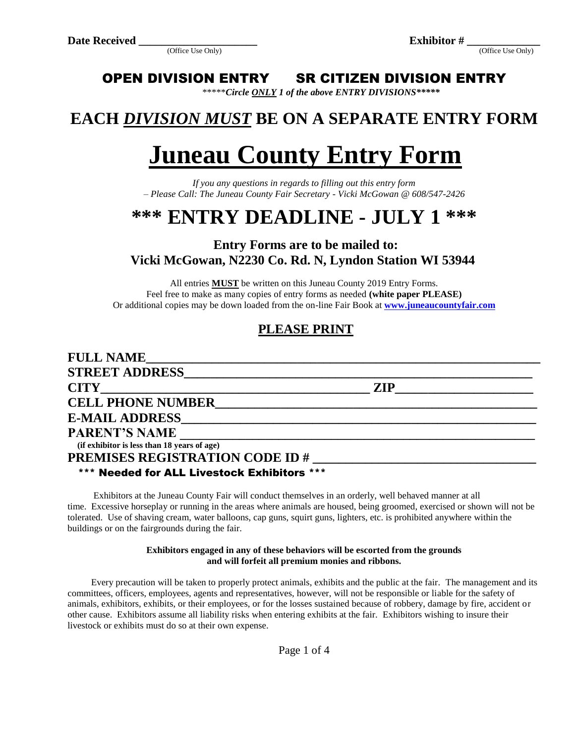(Office Use Only) (Office Use Only)

## OPEN DIVISION ENTRY SR CITIZEN DIVISION ENTRY

\*\*\*\*\**Circle ONLY 1 of the above ENTRY DIVISIONS\*\*\*\*\**

# **EACH** *DIVISION MUST* **BE ON A SEPARATE ENTRY FORM**

# **Juneau County Entry Form**

*If you any questions in regards to filling out this entry form – Please Call: The Juneau County Fair Secretary - Vicki McGowan @ 608/547-2426*

# **\*\*\* ENTRY DEADLINE - JULY 1 \*\*\***

#### **Entry Forms are to be mailed to: Vicki McGowan, N2230 Co. Rd. N, Lyndon Station WI 53944**

All entries **MUST** be written on this Juneau County 2019 Entry Forms. Feel free to make as many copies of entry forms as needed **(white paper PLEASE)** Or additional copies may be down loaded from the on-line Fair Book at **[www.juneaucountyfair.com](http://www.juneaucountyfair.com/)**

#### **PLEASE PRINT**

| <b>FULL NAME</b>                                                                                                                        |            |  |
|-----------------------------------------------------------------------------------------------------------------------------------------|------------|--|
| <b>STREET ADDRESS</b>                                                                                                                   |            |  |
| <b>CITY</b><br><u> 2000 - Jan Alexandro Alexandro Alexandro Alexandro Alexandro Alexandro Alexandro Alexandro Alexandro Alexandro A</u> | <b>ZIP</b> |  |
| <b>CELL PHONE NUMBER</b>                                                                                                                |            |  |
| <b>E-MAIL ADDRESS</b>                                                                                                                   |            |  |
| PARENT'S NAME                                                                                                                           |            |  |
| (if exhibitor is less than 18 years of age)                                                                                             |            |  |
| <b>PREMISES REGISTRATION CODE ID#</b>                                                                                                   |            |  |
| *** Needed for ALL Livestock Exhibitors ***                                                                                             |            |  |

 Exhibitors at the Juneau County Fair will conduct themselves in an orderly, well behaved manner at all time. Excessive horseplay or running in the areas where animals are housed, being groomed, exercised or shown will not be tolerated. Use of shaving cream, water balloons, cap guns, squirt guns, lighters, etc. is prohibited anywhere within the buildings or on the fairgrounds during the fair.

#### **Exhibitors engaged in any of these behaviors will be escorted from the grounds and will forfeit all premium monies and ribbons.**

 Every precaution will be taken to properly protect animals, exhibits and the public at the fair. The management and its committees, officers, employees, agents and representatives, however, will not be responsible or liable for the safety of animals, exhibitors, exhibits, or their employees, or for the losses sustained because of robbery, damage by fire, accident or other cause. Exhibitors assume all liability risks when entering exhibits at the fair. Exhibitors wishing to insure their livestock or exhibits must do so at their own expense.

Page 1 of 4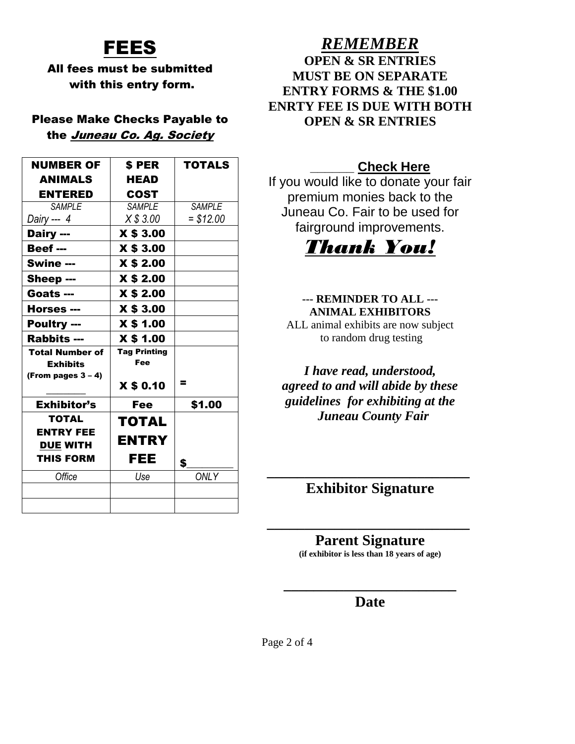# FEES

#### All fees must be submitted with this entry form.

#### Please Make Checks Payable to the Juneau Co. Ag. Society

| <b>NUMBER OF</b>                         | S PER                      | <b>TOTALS</b>               |
|------------------------------------------|----------------------------|-----------------------------|
| <b>ANIMALS</b>                           | <b>HEAD</b>                |                             |
| <b>ENTERED</b>                           | <b>COST</b>                |                             |
| <b>SAMPLE</b><br>Dairy --- 4             | <b>SAMPLE</b><br>X \$3.00  | <b>SAMPLE</b><br>$= $12.00$ |
| Dairy ---                                | X \$ 3.00                  |                             |
| <b>Beef ---</b>                          | X \$ 3.00                  |                             |
| Swine ---                                | X \$ 2.00                  |                             |
| Sheep ---                                | X \$ 2.00                  |                             |
| Goats ---                                | X \$ 2.00                  |                             |
| Horses ---                               | X \$ 3.00                  |                             |
| <b>Poultry ---</b>                       | X \$ 1.00                  |                             |
| <b>Rabbits ---</b>                       | <b>X \$ 1.00</b>           |                             |
| <b>Total Number of</b>                   | <b>Tag Printing</b><br>Fee |                             |
| <b>Exhibits</b><br>(From pages $3 - 4$ ) |                            |                             |
|                                          | <b>X \$ 0.10</b>           | Ξ                           |
| <b>Exhibitor's</b>                       | <b>Fee</b>                 | \$1.00                      |
| <b>TOTAL</b>                             | TOTAL                      |                             |
| <b>ENTRY FEE</b>                         | <b>ENTRY</b>               |                             |
| <b>DUE WITH</b>                          |                            |                             |
| <b>THIS FORM</b>                         | FEE                        | \$                          |
| Office                                   | Use                        | <b>ONLY</b>                 |
|                                          |                            |                             |
|                                          |                            |                             |

#### *REMEMBER* **OPEN & SR ENTRIES MUST BE ON SEPARATE ENTRY FORMS & THE \$1.00 ENRTY FEE IS DUE WITH BOTH OPEN & SR ENTRIES**

### **\_\_\_\_\_\_ Check Here**

If you would like to donate your fair premium monies back to the Juneau Co. Fair to be used for fairground improvements.



#### **--- REMINDER TO ALL --- ANIMAL EXHIBITORS**

ALL animal exhibits are now subject to random drug testing

# *I have read, understood,*

*agreed to and will abide by these guidelines for exhibiting at the Juneau County Fair* 

#### **\_\_\_\_\_\_\_\_\_\_\_\_\_\_\_\_\_\_\_\_\_\_\_\_\_\_\_ Exhibitor Signature**

#### **\_\_\_\_\_\_\_\_\_\_\_\_\_\_\_\_\_\_\_\_\_\_\_\_\_\_\_ Parent Signature**

**(if exhibitor is less than 18 years of age)**

#### **\_\_\_\_\_\_\_\_\_\_\_\_\_\_\_\_\_\_\_\_\_\_\_ Date**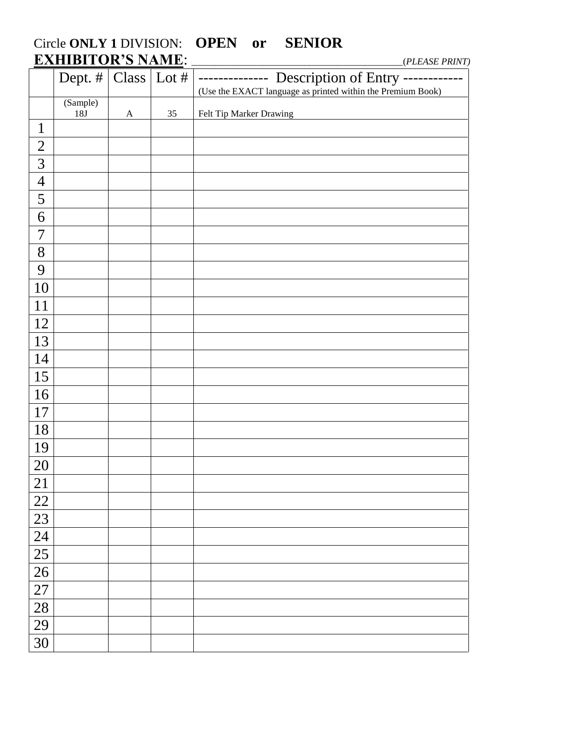## Circle **ONLY 1** DIVISION: **OPEN or SENIOR EXHIBITOR'S NAME**: \_\_\_\_\_\_\_\_\_\_\_\_\_\_\_\_\_\_\_\_\_\_\_\_\_\_\_\_\_\_\_\_\_\_\_\_\_\_\_\_\_\_\_\_\_(*PLEASE PRINT)*

|                  | Dept. # $  Class   Lot #  $ |              |    | -------------- Description of Entry ------<br>------<br>(Use the EXACT language as printed within the Premium Book) |
|------------------|-----------------------------|--------------|----|---------------------------------------------------------------------------------------------------------------------|
|                  | (Sample)<br>$18J$           | $\mathbf{A}$ | 35 | Felt Tip Marker Drawing                                                                                             |
| $\mathbf{1}$     |                             |              |    |                                                                                                                     |
| $\overline{2}$   |                             |              |    |                                                                                                                     |
| 3                |                             |              |    |                                                                                                                     |
| $\overline{4}$   |                             |              |    |                                                                                                                     |
| 5                |                             |              |    |                                                                                                                     |
| 6                |                             |              |    |                                                                                                                     |
| $\boldsymbol{7}$ |                             |              |    |                                                                                                                     |
| 8                |                             |              |    |                                                                                                                     |
| 9                |                             |              |    |                                                                                                                     |
| 10               |                             |              |    |                                                                                                                     |
| 11               |                             |              |    |                                                                                                                     |
| 12               |                             |              |    |                                                                                                                     |
| 13               |                             |              |    |                                                                                                                     |
| 14               |                             |              |    |                                                                                                                     |
| 15               |                             |              |    |                                                                                                                     |
| 16               |                             |              |    |                                                                                                                     |
| 17               |                             |              |    |                                                                                                                     |
| 18               |                             |              |    |                                                                                                                     |
| 19               |                             |              |    |                                                                                                                     |
| 20               |                             |              |    |                                                                                                                     |
| 21               |                             |              |    |                                                                                                                     |
| 22               |                             |              |    |                                                                                                                     |
| 23               |                             |              |    |                                                                                                                     |
| 24               |                             |              |    |                                                                                                                     |
| 25               |                             |              |    |                                                                                                                     |
| $26\,$           |                             |              |    |                                                                                                                     |
| 27               |                             |              |    |                                                                                                                     |
| $28\,$           |                             |              |    |                                                                                                                     |
| 29               |                             |              |    |                                                                                                                     |
| 30               |                             |              |    |                                                                                                                     |